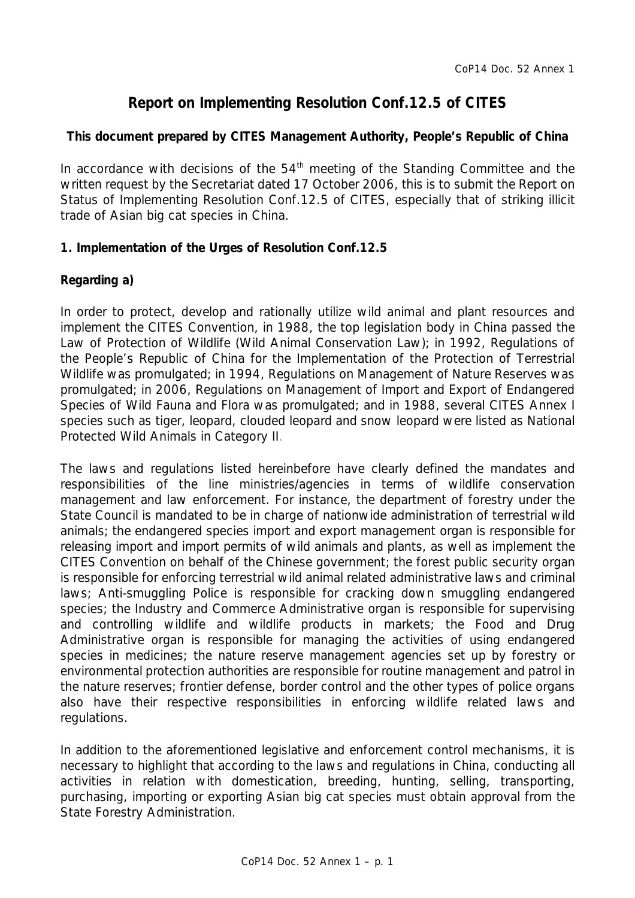# **Report on Implementing Resolution Conf.12.5 of CITES**

## **This document prepared by CITES Management Authority, People's Republic of China**

In accordance with decisions of the  $54<sup>th</sup>$  meeting of the Standing Committee and the written request by the Secretariat dated 17 October 2006, this is to submit the Report on Status of Implementing Resolution Conf.12.5 of CITES, especially that of striking illicit trade of Asian big cat species in China.

## **1. Implementation of the Urges of Resolution Conf.12.5**

## *Regarding a)*

In order to protect, develop and rationally utilize wild animal and plant resources and implement the CITES Convention, in 1988, the top legislation body in China passed the *Law of Protection of Wildlife (Wild Animal Conservation Law)*; in 1992, *Regulations of the People's Republic of China for the Implementation of the Protection of Terrestrial Wildlife* was promulgated; in 1994, *Regulations on Management of Nature Reserves* was promulgated; in 2006, *Regulations on Management of Import and Export of Endangered Species of Wild Fauna and Flora* was promulgated; and in 1988, several CITES Annex I species such as tiger, leopard, clouded leopard and snow leopard were listed as National Protected Wild Animals in Category II.

The laws and regulations listed hereinbefore have clearly defined the mandates and responsibilities of the line ministries/agencies in terms of wildlife conservation management and law enforcement. For instance, the department of forestry under the State Council is mandated to be in charge of nationwide administration of terrestrial wild animals; the endangered species import and export management organ is responsible for releasing import and import permits of wild animals and plants, as well as implement the CITES Convention on behalf of the Chinese government; the forest public security organ is responsible for enforcing terrestrial wild animal related administrative laws and criminal laws; Anti-smuggling Police is responsible for cracking down smuggling endangered species; the Industry and Commerce Administrative organ is responsible for supervising and controlling wildlife and wildlife products in markets; the Food and Drug Administrative organ is responsible for managing the activities of using endangered species in medicines; the nature reserve management agencies set up by forestry or environmental protection authorities are responsible for routine management and patrol in the nature reserves; frontier defense, border control and the other types of police organs also have their respective responsibilities in enforcing wildlife related laws and regulations.

In addition to the aforementioned legislative and enforcement control mechanisms, it is necessary to highlight that according to the laws and regulations in China, conducting all activities in relation with domestication, breeding, hunting, selling, transporting, purchasing, importing or exporting Asian big cat species must obtain approval from the State Forestry Administration.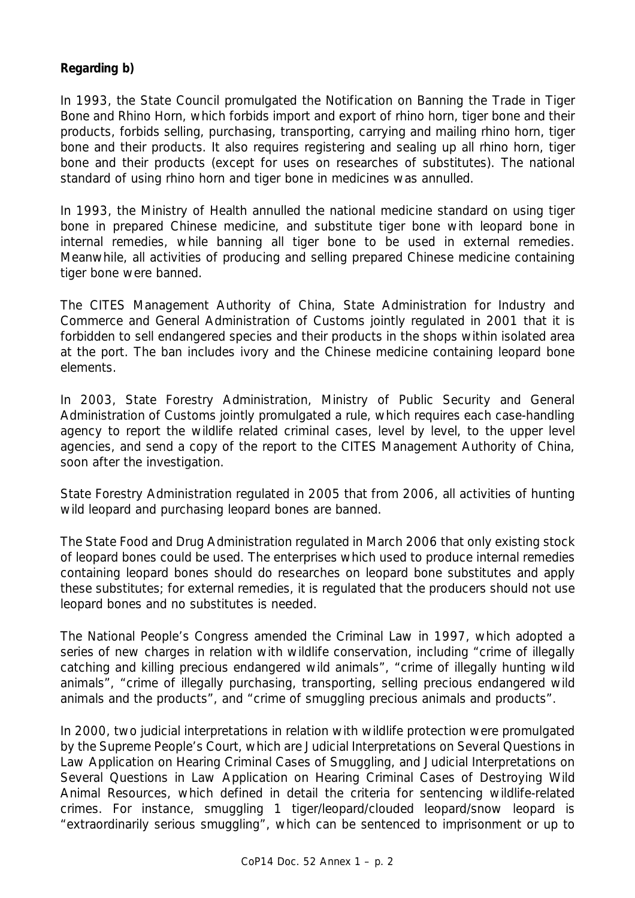### *Regarding b)*

In 1993, the State Council promulgated the *Notification on Banning the Trade in Tiger Bone and Rhino Horn*, which forbids import and export of rhino horn, tiger bone and their products, forbids selling, purchasing, transporting, carrying and mailing rhino horn, tiger bone and their products. It also requires registering and sealing up all rhino horn, tiger bone and their products (except for uses on researches of substitutes). The national standard of using rhino horn and tiger bone in medicines was annulled.

In 1993, the Ministry of Health annulled the national medicine standard on using tiger bone in prepared Chinese medicine, and substitute tiger bone with leopard bone in internal remedies, while banning all tiger bone to be used in external remedies. Meanwhile, all activities of producing and selling prepared Chinese medicine containing tiger bone were banned.

The CITES Management Authority of China, State Administration for Industry and Commerce and General Administration of Customs jointly regulated in 2001 that it is forbidden to sell endangered species and their products in the shops within isolated area at the port. The ban includes ivory and the Chinese medicine containing leopard bone elements.

In 2003, State Forestry Administration, Ministry of Public Security and General Administration of Customs jointly promulgated a rule, which requires each case-handling agency to report the wildlife related criminal cases, level by level, to the upper level agencies, and send a copy of the report to the CITES Management Authority of China, soon after the investigation.

State Forestry Administration regulated in 2005 that from 2006, all activities of hunting wild leopard and purchasing leopard bones are banned.

The State Food and Drug Administration regulated in March 2006 that only existing stock of leopard bones could be used. The enterprises which used to produce internal remedies containing leopard bones should do researches on leopard bone substitutes and apply these substitutes; for external remedies, it is regulated that the producers should not use leopard bones and no substitutes is needed.

The National People's Congress amended the Criminal Law in 1997, which adopted a series of new charges in relation with wildlife conservation, including "crime of illegally catching and killing precious endangered wild animals", "crime of illegally hunting wild animals", "crime of illegally purchasing, transporting, selling precious endangered wild animals and the products", and "crime of smuggling precious animals and products".

In 2000, two judicial interpretations in relation with wildlife protection were promulgated by the Supreme People's Court, which are *Judicial Interpretations on Several Questions in Law Application on Hearing Criminal Cases of Smuggling*, and *Judicial Interpretations on Several Questions in Law Application on Hearing Criminal Cases of Destroying Wild Animal Resources*, which defined in detail the criteria for sentencing wildlife-related crimes. For instance, smuggling 1 tiger/leopard/clouded leopard/snow leopard is "extraordinarily serious smuggling", which can be sentenced to imprisonment or up to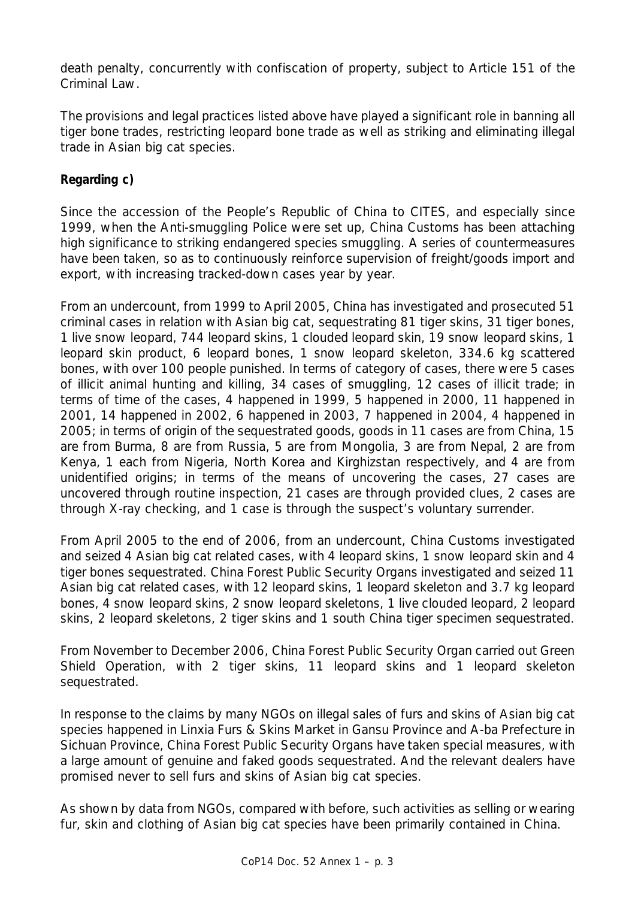death penalty, concurrently with confiscation of property, subject to Article 151 of the Criminal Law.

The provisions and legal practices listed above have played a significant role in banning all tiger bone trades, restricting leopard bone trade as well as striking and eliminating illegal trade in Asian big cat species.

## *Regarding c)*

Since the accession of the People's Republic of China to CITES, and especially since 1999, when the Anti-smuggling Police were set up, China Customs has been attaching high significance to striking endangered species smuggling. A series of countermeasures have been taken, so as to continuously reinforce supervision of freight/goods import and export, with increasing tracked-down cases year by year.

From an undercount, from 1999 to April 2005, China has investigated and prosecuted 51 criminal cases in relation with Asian big cat, sequestrating 81 tiger skins, 31 tiger bones, 1 live snow leopard, 744 leopard skins, 1 clouded leopard skin, 19 snow leopard skins, 1 leopard skin product, 6 leopard bones, 1 snow leopard skeleton, 334.6 kg scattered bones, with over 100 people punished. In terms of category of cases, there were 5 cases of illicit animal hunting and killing, 34 cases of smuggling, 12 cases of illicit trade; in terms of time of the cases, 4 happened in 1999, 5 happened in 2000, 11 happened in 2001, 14 happened in 2002, 6 happened in 2003, 7 happened in 2004, 4 happened in 2005; in terms of origin of the sequestrated goods, goods in 11 cases are from China, 15 are from Burma, 8 are from Russia, 5 are from Mongolia, 3 are from Nepal, 2 are from Kenya, 1 each from Nigeria, North Korea and Kirghizstan respectively, and 4 are from unidentified origins; in terms of the means of uncovering the cases, 27 cases are uncovered through routine inspection, 21 cases are through provided clues, 2 cases are through X-ray checking, and 1 case is through the suspect's voluntary surrender.

From April 2005 to the end of 2006, from an undercount, China Customs investigated and seized 4 Asian big cat related cases, with 4 leopard skins, 1 snow leopard skin and 4 tiger bones sequestrated. China Forest Public Security Organs investigated and seized 11 Asian big cat related cases, with 12 leopard skins, 1 leopard skeleton and 3.7 kg leopard bones, 4 snow leopard skins, 2 snow leopard skeletons, 1 live clouded leopard, 2 leopard skins, 2 leopard skeletons, 2 tiger skins and 1 south China tiger specimen sequestrated.

From November to December 2006, China Forest Public Security Organ carried out Green Shield Operation, with 2 tiger skins, 11 leopard skins and 1 leopard skeleton sequestrated.

In response to the claims by many NGOs on illegal sales of furs and skins of Asian big cat species happened in Linxia Furs & Skins Market in Gansu Province and A-ba Prefecture in Sichuan Province, China Forest Public Security Organs have taken special measures, with a large amount of genuine and faked goods sequestrated. And the relevant dealers have promised never to sell furs and skins of Asian big cat species.

As shown by data from NGOs, compared with before, such activities as selling or wearing fur, skin and clothing of Asian big cat species have been primarily contained in China.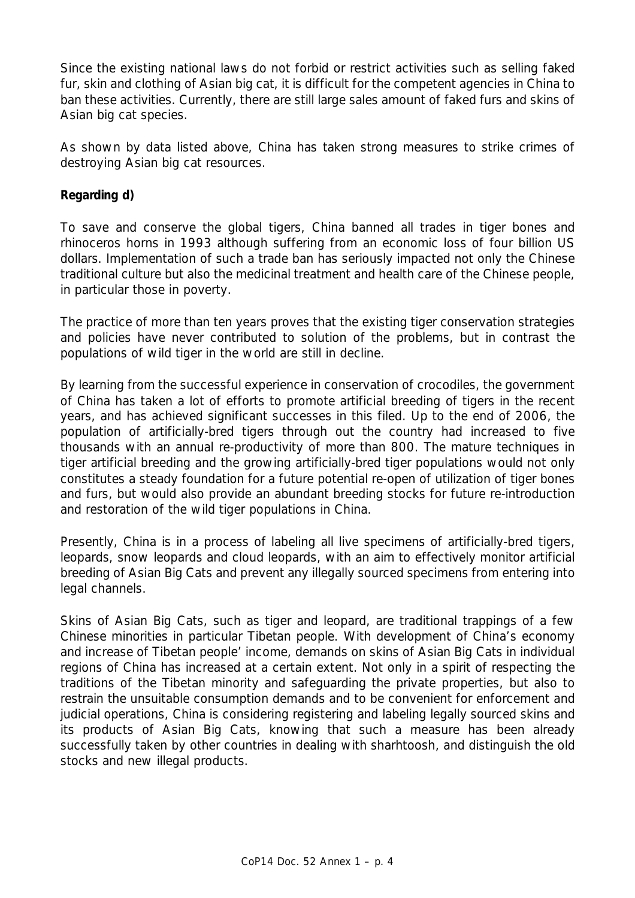Since the existing national laws do not forbid or restrict activities such as selling faked fur, skin and clothing of Asian big cat, it is difficult for the competent agencies in China to ban these activities. Currently, there are still large sales amount of faked furs and skins of Asian big cat species.

As shown by data listed above, China has taken strong measures to strike crimes of destroying Asian big cat resources.

#### *Regarding d)*

To save and conserve the global tigers, China banned all trades in tiger bones and rhinoceros horns in 1993 although suffering from an economic loss of four billion US dollars. Implementation of such a trade ban has seriously impacted not only the Chinese traditional culture but also the medicinal treatment and health care of the Chinese people, in particular those in poverty.

The practice of more than ten years proves that the existing tiger conservation strategies and policies have never contributed to solution of the problems, but in contrast the populations of wild tiger in the world are still in decline.

By learning from the successful experience in conservation of crocodiles, the government of China has taken a lot of efforts to promote artificial breeding of tigers in the recent years, and has achieved significant successes in this filed. Up to the end of 2006, the population of artificially-bred tigers through out the country had increased to five thousands with an annual re-productivity of more than 800. The mature techniques in tiger artificial breeding and the growing artificially-bred tiger populations would not only constitutes a steady foundation for a future potential re-open of utilization of tiger bones and furs, but would also provide an abundant breeding stocks for future re-introduction and restoration of the wild tiger populations in China.

Presently, China is in a process of labeling all live specimens of artificially-bred tigers, leopards, snow leopards and cloud leopards, with an aim to effectively monitor artificial breeding of Asian Big Cats and prevent any illegally sourced specimens from entering into legal channels.

Skins of Asian Big Cats, such as tiger and leopard, are traditional trappings of a few Chinese minorities in particular Tibetan people. With development of China's economy and increase of Tibetan people' income, demands on skins of Asian Big Cats in individual regions of China has increased at a certain extent. Not only in a spirit of respecting the traditions of the Tibetan minority and safeguarding the private properties, but also to restrain the unsuitable consumption demands and to be convenient for enforcement and judicial operations, China is considering registering and labeling legally sourced skins and its products of Asian Big Cats, knowing that such a measure has been already successfully taken by other countries in dealing with sharhtoosh, and distinguish the old stocks and new illegal products.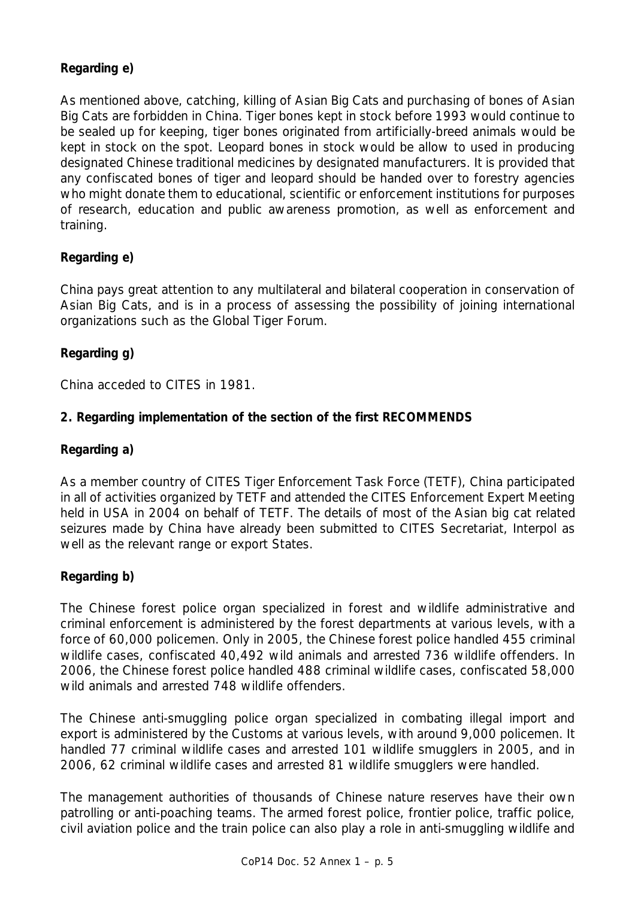## *Regarding e)*

As mentioned above, catching, killing of Asian Big Cats and purchasing of bones of Asian Big Cats are forbidden in China. Tiger bones kept in stock before 1993 would continue to be sealed up for keeping, tiger bones originated from artificially-breed animals would be kept in stock on the spot. Leopard bones in stock would be allow to used in producing designated Chinese traditional medicines by designated manufacturers. It is provided that any confiscated bones of tiger and leopard should be handed over to forestry agencies who might donate them to educational, scientific or enforcement institutions for purposes of research, education and public awareness promotion, as well as enforcement and training.

## *Regarding e)*

China pays great attention to any multilateral and bilateral cooperation in conservation of Asian Big Cats, and is in a process of assessing the possibility of joining international organizations such as the Global Tiger Forum.

## *Regarding g)*

China acceded to CITES in 1981.

### **2. Regarding implementation of the section of the first RECOMMENDS**

### *Regarding a)*

As a member country of CITES Tiger Enforcement Task Force (TETF), China participated in all of activities organized by TETF and attended the CITES Enforcement Expert Meeting held in USA in 2004 on behalf of TETF. The details of most of the Asian big cat related seizures made by China have already been submitted to CITES Secretariat, Interpol as well as the relevant range or export States.

### *Regarding b)*

The Chinese forest police organ specialized in forest and wildlife administrative and criminal enforcement is administered by the forest departments at various levels, with a force of 60,000 policemen. Only in 2005, the Chinese forest police handled 455 criminal wildlife cases, confiscated 40,492 wild animals and arrested 736 wildlife offenders. In 2006, the Chinese forest police handled 488 criminal wildlife cases, confiscated 58,000 wild animals and arrested 748 wildlife offenders.

The Chinese anti-smuggling police organ specialized in combating illegal import and export is administered by the Customs at various levels, with around 9,000 policemen. It handled 77 criminal wildlife cases and arrested 101 wildlife smugglers in 2005, and in 2006, 62 criminal wildlife cases and arrested 81 wildlife smugglers were handled.

The management authorities of thousands of Chinese nature reserves have their own patrolling or anti-poaching teams. The armed forest police, frontier police, traffic police, civil aviation police and the train police can also play a role in anti-smuggling wildlife and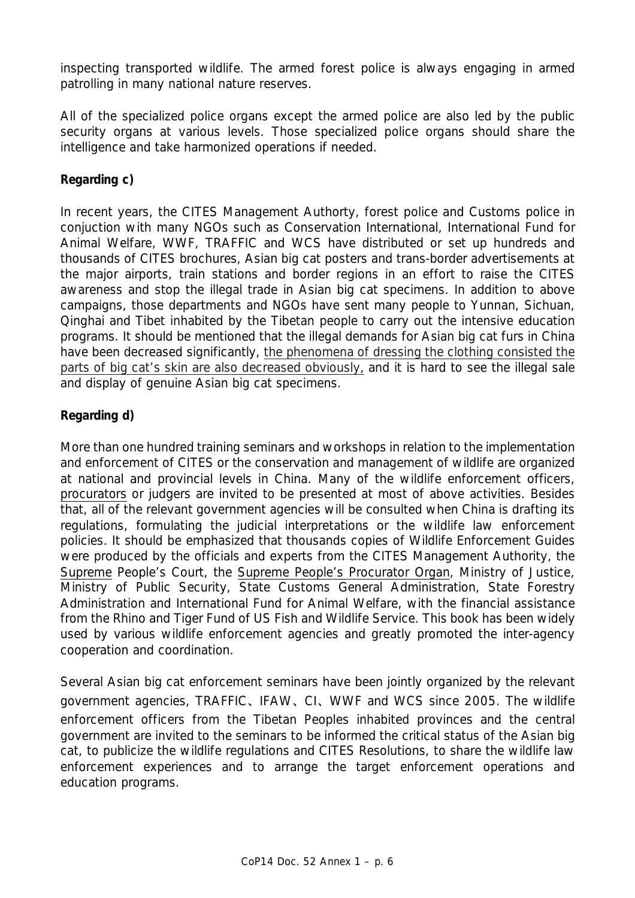inspecting transported wildlife. The armed forest police is always engaging in armed patrolling in many national nature reserves.

All of the specialized police organs except the armed police are also led by the public security organs at various levels. Those specialized police organs should share the intelligence and take harmonized operations if needed.

## *Regarding c)*

In recent years, the CITES Management Authorty, forest police and Customs police in conjuction with many NGOs such as Conservation International, International Fund for Animal Welfare, WWF, TRAFFIC and WCS have distributed or set up hundreds and thousands of CITES brochures, Asian big cat posters and trans-border advertisements at the major airports, train stations and border regions in an effort to raise the CITES awareness and stop the illegal trade in Asian big cat specimens. In addition to above campaigns, those departments and NGOs have sent many people to Yunnan, Sichuan, Qinghai and Tibet inhabited by the Tibetan people to carry out the intensive education programs. It should be mentioned that the illegal demands for Asian big cat furs in China have been decreased significantly, the phenomena of dressing the clothing consisted the parts of big cat's skin are also decreased obviously, and it is hard to see the illegal sale and display of genuine Asian big cat specimens.

## *Regarding d)*

More than one hundred training seminars and workshops in relation to the implementation and enforcement of CITES or the conservation and management of wildlife are organized at national and provincial levels in China. Many of the wildlife enforcement officers, procurators or judgers are invited to be presented at most of above activities. Besides that, all of the relevant government agencies will be consulted when China is drafting its regulations, formulating the judicial interpretations or the wildlife law enforcement policies. It should be emphasized that thousands copies of Wildlife Enforcement Guides were produced by the officials and experts from the CITES Management Authority, the Supreme People's Court, the Supreme People's Procurator Organ, Ministry of Justice, Ministry of Public Security, State Customs General Administration, State Forestry Administration and International Fund for Animal Welfare, with the financial assistance from the Rhino and Tiger Fund of US Fish and Wildlife Service. This book has been widely used by various wildlife enforcement agencies and greatly promoted the inter-agency cooperation and coordination.

Several Asian big cat enforcement seminars have been jointly organized by the relevant government agencies, TRAFFIC、IFAW、CI、WWF and WCS since 2005. The wildlife enforcement officers from the Tibetan Peoples inhabited provinces and the central government are invited to the seminars to be informed the critical status of the Asian big cat, to publicize the wildlife regulations and CITES Resolutions, to share the wildlife law enforcement experiences and to arrange the target enforcement operations and education programs.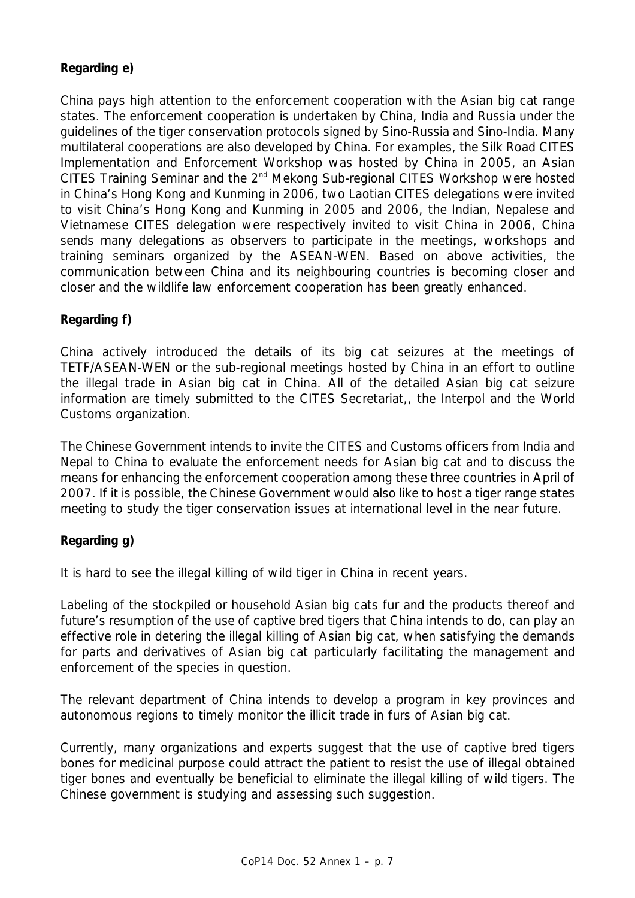## *Regarding e)*

China pays high attention to the enforcement cooperation with the Asian big cat range states. The enforcement cooperation is undertaken by China, India and Russia under the guidelines of the tiger conservation protocols signed by Sino-Russia and Sino-India. Many multilateral cooperations are also developed by China. For examples, the Silk Road CITES Implementation and Enforcement Workshop was hosted by China in 2005, an Asian CITES Training Seminar and the 2<sup>nd</sup> Mekong Sub-regional CITES Workshop were hosted in China's Hong Kong and Kunming in 2006, two Laotian CITES delegations were invited to visit China's Hong Kong and Kunming in 2005 and 2006, the Indian, Nepalese and Vietnamese CITES delegation were respectively invited to visit China in 2006, China sends many delegations as observers to participate in the meetings, workshops and training seminars organized by the ASEAN-WEN. Based on above activities, the communication between China and its neighbouring countries is becoming closer and closer and the wildlife law enforcement cooperation has been greatly enhanced.

### *Regarding f)*

China actively introduced the details of its big cat seizures at the meetings of TETF/ASEAN-WEN or the sub-regional meetings hosted by China in an effort to outline the illegal trade in Asian big cat in China. All of the detailed Asian big cat seizure information are timely submitted to the CITES Secretariat,, the Interpol and the World Customs organization.

The Chinese Government intends to invite the CITES and Customs officers from India and Nepal to China to evaluate the enforcement needs for Asian big cat and to discuss the means for enhancing the enforcement cooperation among these three countries in April of 2007. If it is possible, the Chinese Government would also like to host a tiger range states meeting to study the tiger conservation issues at international level in the near future.

### *Regarding g)*

It is hard to see the illegal killing of wild tiger in China in recent years.

Labeling of the stockpiled or household Asian big cats fur and the products thereof and future's resumption of the use of captive bred tigers that China intends to do, can play an effective role in detering the illegal killing of Asian big cat, when satisfying the demands for parts and derivatives of Asian big cat particularly facilitating the management and enforcement of the species in question.

The relevant department of China intends to develop a program in key provinces and autonomous regions to timely monitor the illicit trade in furs of Asian big cat.

Currently, many organizations and experts suggest that the use of captive bred tigers bones for medicinal purpose could attract the patient to resist the use of illegal obtained tiger bones and eventually be beneficial to eliminate the illegal killing of wild tigers. The Chinese government is studying and assessing such suggestion.